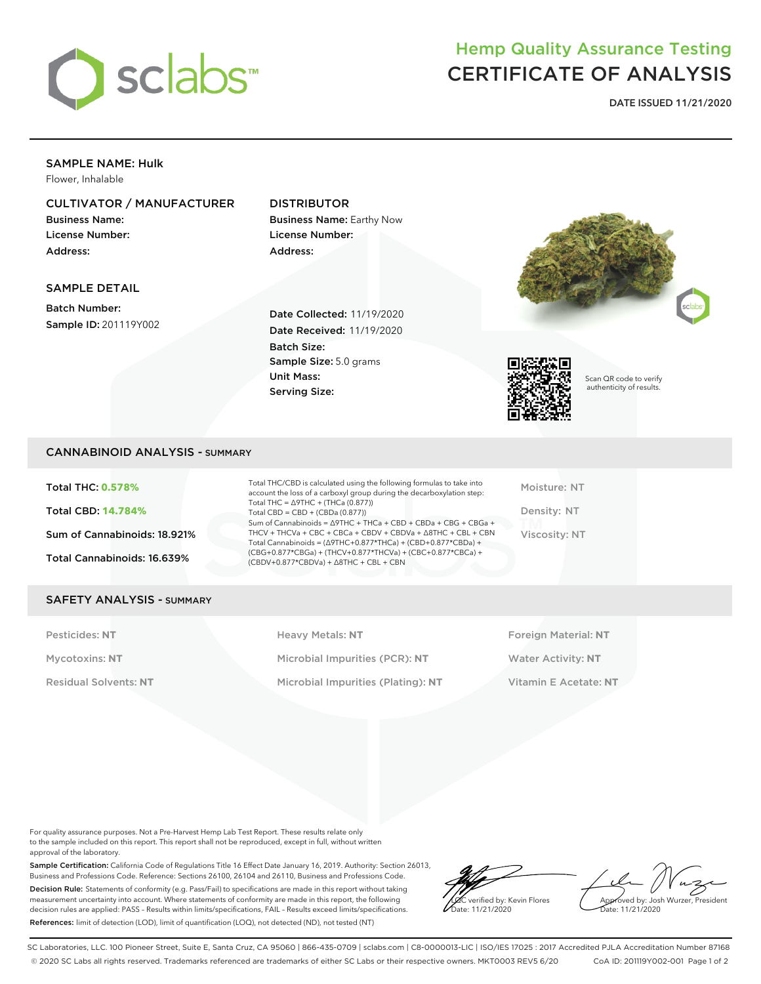

# Hemp Quality Assurance Testing CERTIFICATE OF ANALYSIS

**DATE ISSUED 11/21/2020**

# SAMPLE NAME: Hulk

Flower, Inhalable

# CULTIVATOR / MANUFACTURER

Business Name: License Number: Address:

# DISTRIBUTOR

Business Name: Earthy Now License Number: Address:

# SAMPLE DETAIL

Batch Number: Sample ID: 201119Y002

Date Collected: 11/19/2020 Date Received: 11/19/2020 Batch Size: Sample Size: 5.0 grams Unit Mass: Serving Size:





Scan QR code to verify authenticity of results.

# CANNABINOID ANALYSIS - SUMMARY

Total THC: **0.578%** Total CBD: **14.784%** Sum of Cannabinoids: 18.921% Total Cannabinoids: 16.639%

Total THC/CBD is calculated using the following formulas to take into account the loss of a carboxyl group during the decarboxylation step: Total THC = ∆9THC + (THCa (0.877)) Total  $CBD = CBD + (CBDa (0.877))$ Sum of Cannabinoids = ∆9THC + THCa + CBD + CBDa + CBG + CBGa + THCV + THCVa + CBC + CBCa + CBDV + CBDVa + ∆8THC + CBL + CBN Total Cannabinoids = (∆9THC+0.877\*THCa) + (CBD+0.877\*CBDa) + (CBG+0.877\*CBGa) + (THCV+0.877\*THCVa) + (CBC+0.877\*CBCa) + (CBDV+0.877\*CBDVa) + ∆8THC + CBL + CBN

Moisture: NT Density: NT Viscosity: NT

#### SAFETY ANALYSIS - SUMMARY

Pesticides: NT **All Accords** Heavy Metals: NT **Foreign Material: NT** Pesticides: NT Mycotoxins: **NT** Microbial Impurities (PCR): **NT** Water Activity: **NT** Residual Solvents: **NT** Microbial Impurities (Plating): **NT** Vitamin E Acetate: **NT**

For quality assurance purposes. Not a Pre-Harvest Hemp Lab Test Report. These results relate only to the sample included on this report. This report shall not be reproduced, except in full, without written approval of the laboratory.

Sample Certification: California Code of Regulations Title 16 Effect Date January 16, 2019. Authority: Section 26013, Business and Professions Code. Reference: Sections 26100, 26104 and 26110, Business and Professions Code. Decision Rule: Statements of conformity (e.g. Pass/Fail) to specifications are made in this report without taking measurement uncertainty into account. Where statements of conformity are made in this report, the following decision rules are applied: PASS – Results within limits/specifications, FAIL – Results exceed limits/specifications. References: limit of detection (LOD), limit of quantification (LOQ), not detected (ND), not tested (NT)

LQC verified by: Kevin Flores Date: 11/21/2020

Approved by: Josh Wurzer, President Date: 11/21/2020

SC Laboratories, LLC. 100 Pioneer Street, Suite E, Santa Cruz, CA 95060 | 866-435-0709 | sclabs.com | C8-0000013-LIC | ISO/IES 17025 : 2017 Accredited PJLA Accreditation Number 87168 © 2020 SC Labs all rights reserved. Trademarks referenced are trademarks of either SC Labs or their respective owners. MKT0003 REV5 6/20 CoA ID: 201119Y002-001 Page 1 of 2